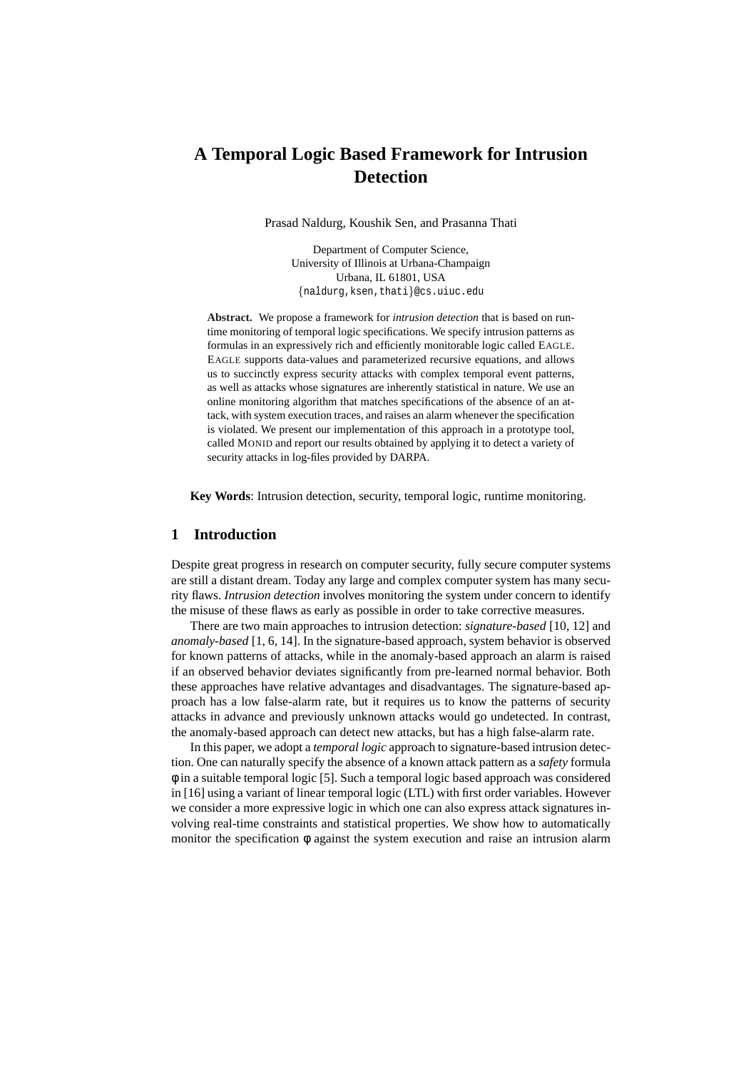# **A Temporal Logic Based Framework for Intrusion Detection**

Prasad Naldurg, Koushik Sen, and Prasanna Thati

Department of Computer Science, University of Illinois at Urbana-Champaign Urbana, IL 61801, USA {naldurg,ksen,thati}@cs.uiuc.edu

**Abstract.** We propose a framework for *intrusion detection* that is based on runtime monitoring of temporal logic specifications. We specify intrusion patterns as formulas in an expressively rich and efficiently monitorable logic called EAGLE. EAGLE supports data-values and parameterized recursive equations, and allows us to succinctly express security attacks with complex temporal event patterns, as well as attacks whose signatures are inherently statistical in nature. We use an online monitoring algorithm that matches specifications of the absence of an attack, with system execution traces, and raises an alarm whenever the specification is violated. We present our implementation of this approach in a prototype tool, called MONID and report our results obtained by applying it to detect a variety of security attacks in log-files provided by DARPA.

**Key Words**: Intrusion detection, security, temporal logic, runtime monitoring.

## **1 Introduction**

Despite great progress in research on computer security, fully secure computer systems are still a distant dream. Today any large and complex computer system has many security flaws. *Intrusion detection* involves monitoring the system under concern to identify the misuse of these flaws as early as possible in order to take corrective measures.

There are two main approaches to intrusion detection: *signature-based* [10, 12] and *anomaly-based* [1, 6, 14]. In the signature-based approach, system behavior is observed for known patterns of attacks, while in the anomaly-based approach an alarm is raised if an observed behavior deviates significantly from pre-learned normal behavior. Both these approaches have relative advantages and disadvantages. The signature-based approach has a low false-alarm rate, but it requires us to know the patterns of security attacks in advance and previously unknown attacks would go undetected. In contrast, the anomaly-based approach can detect new attacks, but has a high false-alarm rate.

In this paper, we adopt a *temporal logic* approach to signature-based intrusion detection. One can naturally specify the absence of a known attack pattern as a *safety* formula φ in a suitable temporal logic [5]. Such a temporal logic based approach was considered in [16] using a variant of linear temporal logic (LTL) with first order variables. However we consider a more expressive logic in which one can also express attack signatures involving real-time constraints and statistical properties. We show how to automatically monitor the specification φ against the system execution and raise an intrusion alarm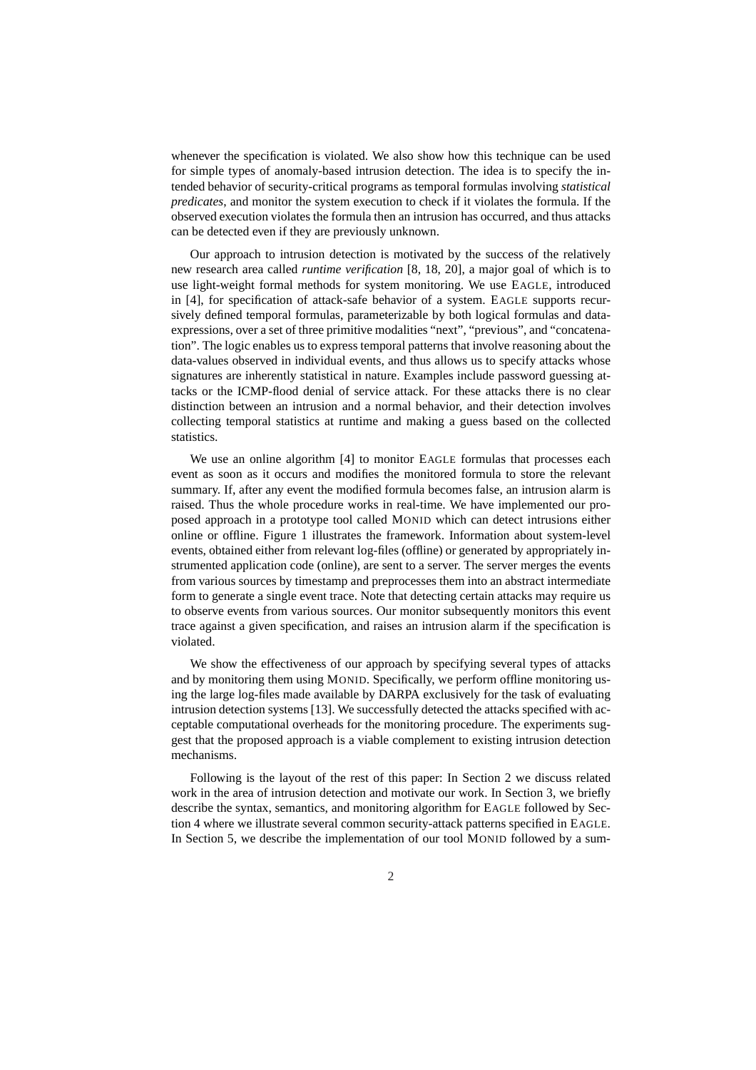whenever the specification is violated. We also show how this technique can be used for simple types of anomaly-based intrusion detection. The idea is to specify the intended behavior of security-critical programs as temporal formulas involving *statistical predicates*, and monitor the system execution to check if it violates the formula. If the observed execution violates the formula then an intrusion has occurred, and thus attacks can be detected even if they are previously unknown.

Our approach to intrusion detection is motivated by the success of the relatively new research area called *runtime verification* [8, 18, 20], a major goal of which is to use light-weight formal methods for system monitoring. We use EAGLE, introduced in [4], for specification of attack-safe behavior of a system. EAGLE supports recursively defined temporal formulas, parameterizable by both logical formulas and dataexpressions, over a set of three primitive modalities "next", "previous", and "concatenation". The logic enables us to express temporal patterns that involve reasoning about the data-values observed in individual events, and thus allows us to specify attacks whose signatures are inherently statistical in nature. Examples include password guessing attacks or the ICMP-flood denial of service attack. For these attacks there is no clear distinction between an intrusion and a normal behavior, and their detection involves collecting temporal statistics at runtime and making a guess based on the collected statistics.

We use an online algorithm [4] to monitor EAGLE formulas that processes each event as soon as it occurs and modifies the monitored formula to store the relevant summary. If, after any event the modified formula becomes false, an intrusion alarm is raised. Thus the whole procedure works in real-time. We have implemented our proposed approach in a prototype tool called MONID which can detect intrusions either online or offline. Figure 1 illustrates the framework. Information about system-level events, obtained either from relevant log-files (offline) or generated by appropriately instrumented application code (online), are sent to a server. The server merges the events from various sources by timestamp and preprocesses them into an abstract intermediate form to generate a single event trace. Note that detecting certain attacks may require us to observe events from various sources. Our monitor subsequently monitors this event trace against a given specification, and raises an intrusion alarm if the specification is violated.

We show the effectiveness of our approach by specifying several types of attacks and by monitoring them using MONID. Specifically, we perform offline monitoring using the large log-files made available by DARPA exclusively for the task of evaluating intrusion detection systems [13]. We successfully detected the attacks specified with acceptable computational overheads for the monitoring procedure. The experiments suggest that the proposed approach is a viable complement to existing intrusion detection mechanisms.

Following is the layout of the rest of this paper: In Section 2 we discuss related work in the area of intrusion detection and motivate our work. In Section 3, we briefly describe the syntax, semantics, and monitoring algorithm for EAGLE followed by Section 4 where we illustrate several common security-attack patterns specified in EAGLE. In Section 5, we describe the implementation of our tool MONID followed by a sum-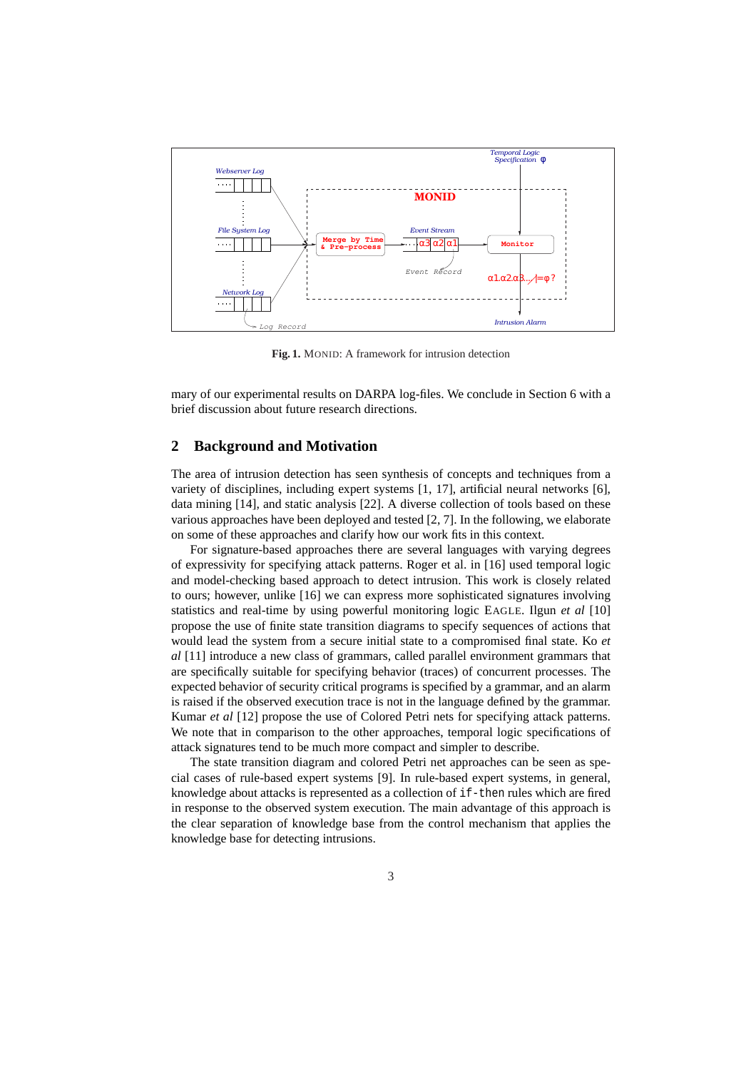

**Fig. 1.** MONID: A framework for intrusion detection

mary of our experimental results on DARPA log-files. We conclude in Section 6 with a brief discussion about future research directions.

# **2 Background and Motivation**

The area of intrusion detection has seen synthesis of concepts and techniques from a variety of disciplines, including expert systems [1, 17], artificial neural networks [6], data mining [14], and static analysis [22]. A diverse collection of tools based on these various approaches have been deployed and tested [2, 7]. In the following, we elaborate on some of these approaches and clarify how our work fits in this context.

For signature-based approaches there are several languages with varying degrees of expressivity for specifying attack patterns. Roger et al. in [16] used temporal logic and model-checking based approach to detect intrusion. This work is closely related to ours; however, unlike [16] we can express more sophisticated signatures involving statistics and real-time by using powerful monitoring logic EAGLE. Ilgun *et al* [10] propose the use of finite state transition diagrams to specify sequences of actions that would lead the system from a secure initial state to a compromised final state. Ko *et al* [11] introduce a new class of grammars, called parallel environment grammars that are specifically suitable for specifying behavior (traces) of concurrent processes. The expected behavior of security critical programs is specified by a grammar, and an alarm is raised if the observed execution trace is not in the language defined by the grammar. Kumar *et al* [12] propose the use of Colored Petri nets for specifying attack patterns. We note that in comparison to the other approaches, temporal logic specifications of attack signatures tend to be much more compact and simpler to describe.

The state transition diagram and colored Petri net approaches can be seen as special cases of rule-based expert systems [9]. In rule-based expert systems, in general, knowledge about attacks is represented as a collection of if-then rules which are fired in response to the observed system execution. The main advantage of this approach is the clear separation of knowledge base from the control mechanism that applies the knowledge base for detecting intrusions.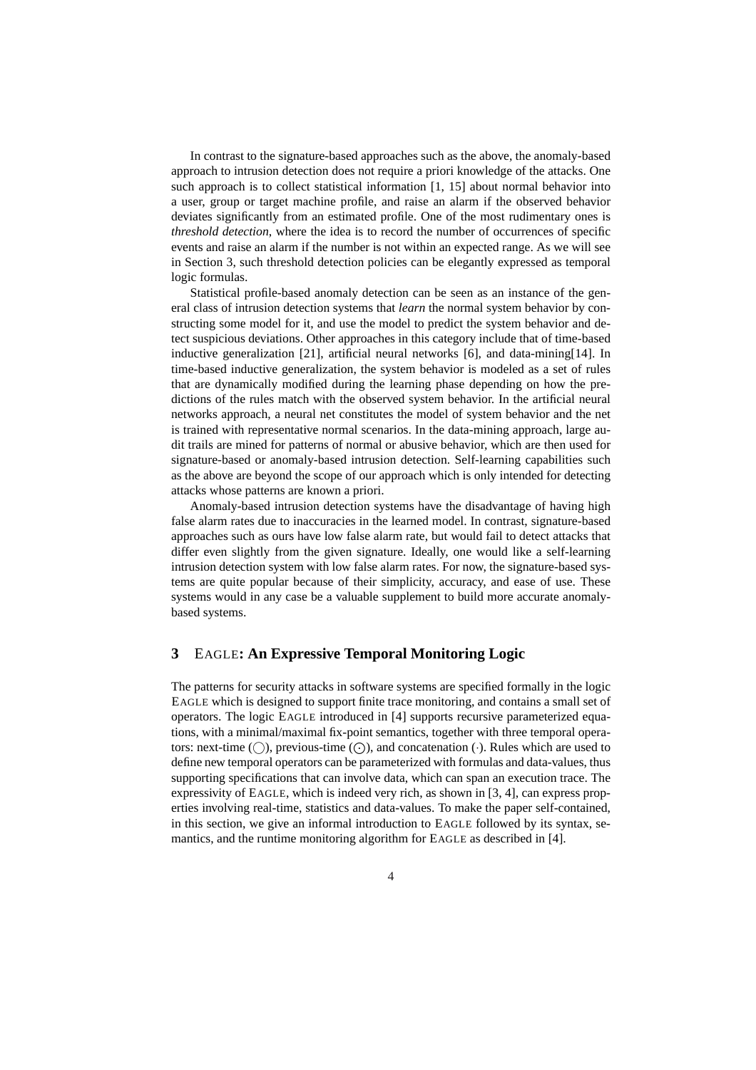In contrast to the signature-based approaches such as the above, the anomaly-based approach to intrusion detection does not require a priori knowledge of the attacks. One such approach is to collect statistical information [1, 15] about normal behavior into a user, group or target machine profile, and raise an alarm if the observed behavior deviates significantly from an estimated profile. One of the most rudimentary ones is *threshold detection*, where the idea is to record the number of occurrences of specific events and raise an alarm if the number is not within an expected range. As we will see in Section 3, such threshold detection policies can be elegantly expressed as temporal logic formulas.

Statistical profile-based anomaly detection can be seen as an instance of the general class of intrusion detection systems that *learn* the normal system behavior by constructing some model for it, and use the model to predict the system behavior and detect suspicious deviations. Other approaches in this category include that of time-based inductive generalization [21], artificial neural networks [6], and data-mining[14]. In time-based inductive generalization, the system behavior is modeled as a set of rules that are dynamically modified during the learning phase depending on how the predictions of the rules match with the observed system behavior. In the artificial neural networks approach, a neural net constitutes the model of system behavior and the net is trained with representative normal scenarios. In the data-mining approach, large audit trails are mined for patterns of normal or abusive behavior, which are then used for signature-based or anomaly-based intrusion detection. Self-learning capabilities such as the above are beyond the scope of our approach which is only intended for detecting attacks whose patterns are known a priori.

Anomaly-based intrusion detection systems have the disadvantage of having high false alarm rates due to inaccuracies in the learned model. In contrast, signature-based approaches such as ours have low false alarm rate, but would fail to detect attacks that differ even slightly from the given signature. Ideally, one would like a self-learning intrusion detection system with low false alarm rates. For now, the signature-based systems are quite popular because of their simplicity, accuracy, and ease of use. These systems would in any case be a valuable supplement to build more accurate anomalybased systems.

# **3** EAGLE**: An Expressive Temporal Monitoring Logic**

The patterns for security attacks in software systems are specified formally in the logic EAGLE which is designed to support finite trace monitoring, and contains a small set of operators. The logic EAGLE introduced in [4] supports recursive parameterized equations, with a minimal/maximal fix-point semantics, together with three temporal operators: next-time  $(\bigcirc)$ , previous-time  $(\bigcirc)$ , and concatenation  $(\cdot)$ . Rules which are used to define new temporal operators can be parameterized with formulas and data-values, thus supporting specifications that can involve data, which can span an execution trace. The expressivity of EAGLE, which is indeed very rich, as shown in [3, 4], can express properties involving real-time, statistics and data-values. To make the paper self-contained, in this section, we give an informal introduction to EAGLE followed by its syntax, semantics, and the runtime monitoring algorithm for EAGLE as described in [4].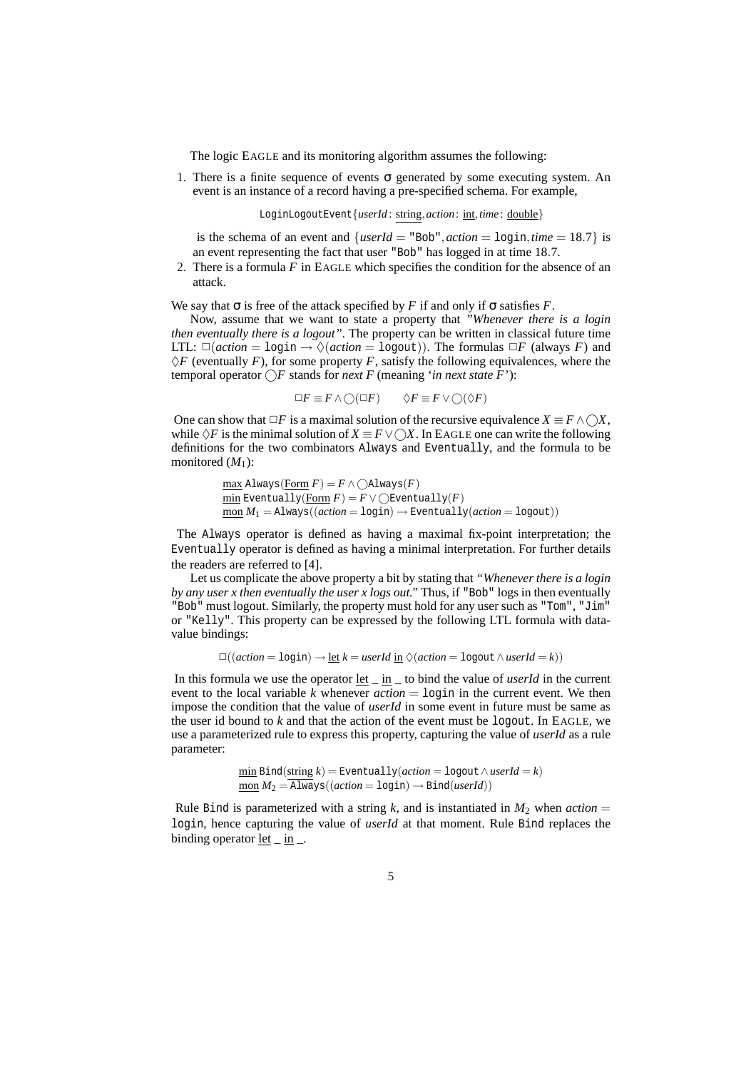The logic EAGLE and its monitoring algorithm assumes the following:

1. There is a finite sequence of events  $\sigma$  generated by some executing system. An event is an instance of a record having a pre-specified schema. For example,

LoginLogoutEvent{*userId* : string,*action*: int,*time* : double}

is the schema of an event and  $\{userId = "Bob", action = login, time = 18.7\}$  is an event representing the fact that user "Bob" has logged in at time 18.7.

2. There is a formula *F* in EAGLE which specifies the condition for the absence of an attack.

We say that  $\sigma$  is free of the attack specified by *F* if and only if  $\sigma$  satisfies *F*.

Now, assume that we want to state a property that *"Whenever there is a login then eventually there is a logout"*. The property can be written in classical future time LTL:  $\square$ (*action* = login  $\rightarrow \lozenge$  (*action* = logout)). The formulas  $\square F$  (always *F*) and  $\Diamond F$  (eventually *F*), for some property *F*, satisfy the following equivalences, where the temporal operator  $\bigcap F$  stands for *next F* (meaning '*in next state*  $F$ ):

 $\Box F \equiv F \land \bigcirc (\Box F)$   $\Diamond F \equiv F \lor \bigcirc (\Diamond F)$ 

One can show that  $\Box F$  is a maximal solution of the recursive equivalence  $X \equiv F \land \bigcirc X$ , while  $\Diamond F$  is the minimal solution of  $X \equiv F \vee \bigcirc X$ . In EAGLE one can write the following definitions for the two combinators Always and Eventually, and the formula to be monitored ( $M_1$ ):

> $max$  Always(Form  $F$ ) =  $F \wedge \bigcirc$ Always( $F$ )  $\underline{\min}$  Eventually( $\underline{\text{Form}} F$ ) =  $F \vee \bigcirc$  Eventually( $F$ )  $\text{mon } M_1 = \text{Always}((action = \text{login}) \rightarrow \text{Eventually}(action = \text{logout}))$

The Always operator is defined as having a maximal fix-point interpretation; the Eventually operator is defined as having a minimal interpretation. For further details the readers are referred to [4].

Let us complicate the above property a bit by stating that *"Whenever there is a login by any user x then eventually the user x logs out."* Thus, if "Bob" logs in then eventually "Bob" must logout. Similarly, the property must hold for any user such as "Tom", "Jim" or "Kelly". This property can be expressed by the following LTL formula with datavalue bindings:

$$
\Box((action = \text{login}) \rightarrow \underline{\text{let}} \ k = userId \underline{\text{in}} \ \Diamond(action = \text{logout} \land userId = k))
$$

In this formula we use the operator <u>let  $\frac{1}{\text{pi}}$ </u> to bind the value of *userId* in the current event to the local variable  $k$  whenever  $action =$  login in the current event. We then impose the condition that the value of *userId* in some event in future must be same as the user id bound to *k* and that the action of the event must be logout. In EAGLE, we use a parameterized rule to express this property, capturing the value of *userId* as a rule parameter:

$$
\underline{\min} \text{ Bind}(\underline{\text{string }k}) = \text{Eventually}(action = \text{logout} \land userId = k)
$$

$$
\underline{\min} M_2 = \text{Always}((action = \text{login}) \rightarrow \text{Bind}(userId))
$$

Rule Bind is parameterized with a string  $k$ , and is instantiated in  $M_2$  when  $action =$ login, hence capturing the value of *userId* at that moment. Rule Bind replaces the binding operator let \_in \_.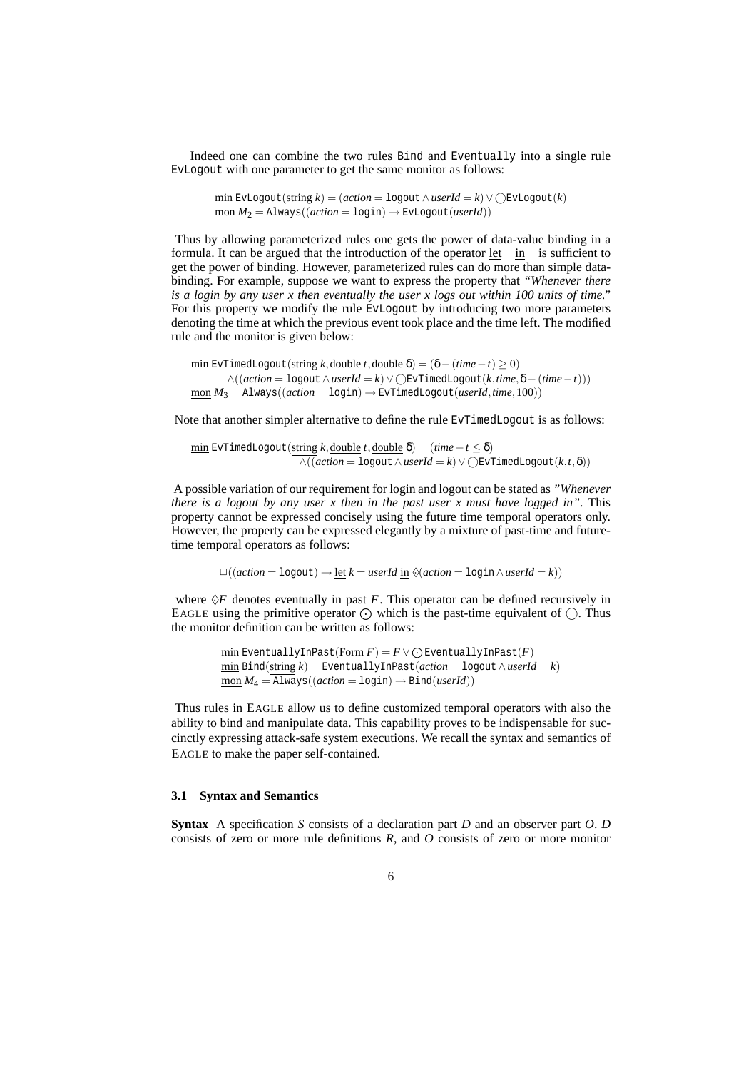Indeed one can combine the two rules Bind and Eventually into a single rule EvLogout with one parameter to get the same monitor as follows:

$$
\underline{\min} \text{EvLogout}(\underline{\text{string }k}) = (action = \text{logout} \land userId = k) \lor \bigcirc \text{EvLogout}(k)
$$
  

$$
\underline{\min} M_2 = \text{Always}((action = \text{login}) \rightarrow \text{EvLogout}(userId))
$$

Thus by allowing parameterized rules one gets the power of data-value binding in a formula. It can be argued that the introduction of the operator let \_ in \_ is sufficient to get the power of binding. However, parameterized rules can do more than simple databinding. For example, suppose we want to express the property that *"Whenever there is a login by any user x then eventually the user x logs out within 100 units of time."* For this property we modify the rule EvLogout by introducing two more parameters denoting the time at which the previous event took place and the time left. The modified rule and the monitor is given below:

$$
\underline{\min} \text{ EvTimedLogout}(\underline{\text{string }k}, \underline{\text{double }t}, \underline{\text{double }\delta}) = (\delta - (\text{time } - t) \ge 0)
$$
\n
$$
\land ((action = \overline{\text{logout} \land \text{userId}} = k) \lor \bigcirc \text{EvTimedLogout}(k, \text{time}, \delta - (\text{time } - t)))
$$
\n
$$
\underline{\text{mon }M_3} = \text{Always}((action = \text{login}) \rightarrow \text{EvTimedLogout}(\text{userId}, \text{time}, 100))
$$

Note that another simpler alternative to define the rule EvTimedLogout is as follows:

$$
\underline{\text{min}} \text{ EvTimedLogout}(\underline{\text{string }k, \underline{\text{double }t}, \underline{\text{double }\delta}) = (\text{time} - t \leq \delta)} \\ \qquad \qquad \wedge ((action = \text{logout} \wedge \text{userId} = k) \vee \bigcirc \text{EvTimedLogout}(k, t, \delta))
$$

A possible variation of our requirement for login and logout can be stated as *"Whenever there is a logout by any user x then in the past user x must have logged in"*. This property cannot be expressed concisely using the future time temporal operators only. However, the property can be expressed elegantly by a mixture of past-time and futuretime temporal operators as follows:

 $□((action = logout) → \underline{let} k = useful \underline{in} \& (action = login ∧ userId = k))$ 

where  $\Diamond F$  denotes eventually in past *F*. This operator can be defined recursively in EAGLE using the primitive operator  $\odot$  which is the past-time equivalent of  $\odot$ . Thus the monitor definition can be written as follows:

> $\min$  EventuallyInPast( $\overline{\text{Form }}F) = F \vee \bigodot$  EventuallyInPast( $F)$  $\min$  Bind(string  $k$ ) = EventuallyInPast(*action* = logout  $\land$  *userId* = *k*)  $\text{mon } M_4 = \overline{\text{Always}}((action = \text{login}) \rightarrow \text{Bind}(userId))$

Thus rules in EAGLE allow us to define customized temporal operators with also the ability to bind and manipulate data. This capability proves to be indispensable for succinctly expressing attack-safe system executions. We recall the syntax and semantics of EAGLE to make the paper self-contained.

### **3.1 Syntax and Semantics**

**Syntax** A specification *S* consists of a declaration part *D* and an observer part *O*. *D* consists of zero or more rule definitions *R*, and *O* consists of zero or more monitor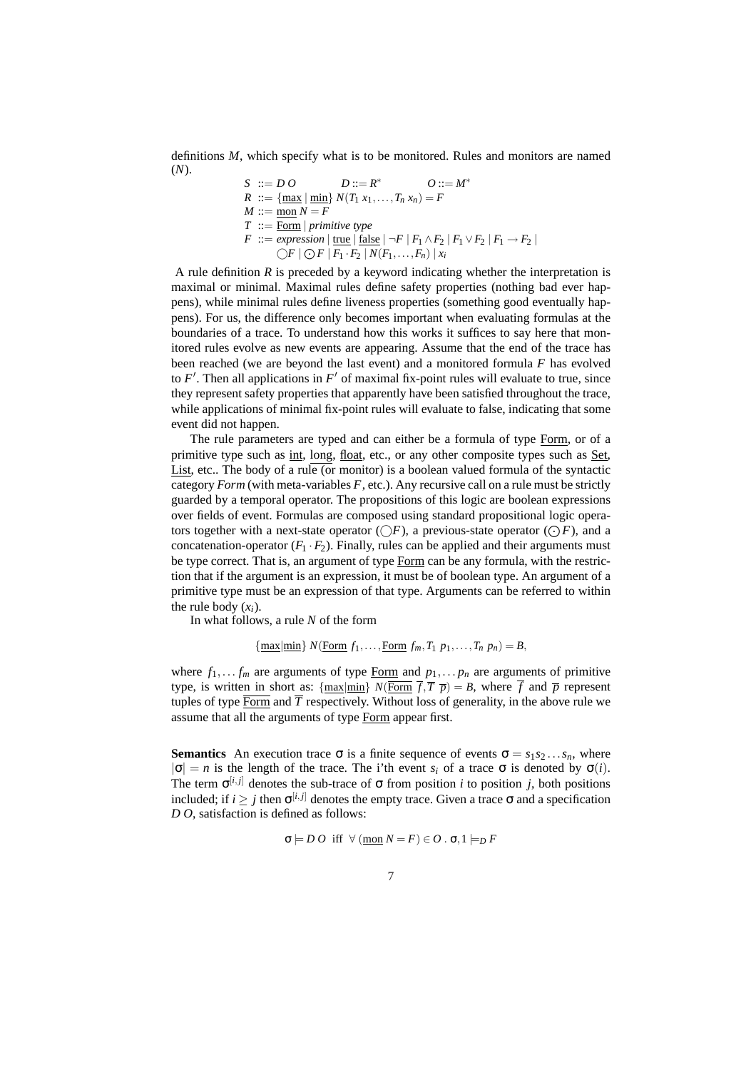definitions *M*, which specify what is to be monitored. Rules and monitors are named (*N*).

S ::= 
$$
D O
$$
  $D ::= R^*$   $O ::= M^*$   
\nR ::= { $\frac{\max}{\min}$ }  $N(T_1 x_1,..., T_n x_n) = F$   
\nM ::=  $\frac{\min}{N} = F$   
\nT ::=  $\frac{\text{Form}}{\text{expression}}$  |  $\frac{\text{true}}{\text{false}}$  |  $\neg F | F_1 \wedge F_2 | F_1 \vee F_2 | F_1 \rightarrow F_2$  |  
\n $\bigcirc F | \bigcirc F | F_1 \cdot F_2 | N(F_1,..., F_n) | x_i$ 

A rule definition *R* is preceded by a keyword indicating whether the interpretation is maximal or minimal. Maximal rules define safety properties (nothing bad ever happens), while minimal rules define liveness properties (something good eventually happens). For us, the difference only becomes important when evaluating formulas at the boundaries of a trace. To understand how this works it suffices to say here that monitored rules evolve as new events are appearing. Assume that the end of the trace has been reached (we are beyond the last event) and a monitored formula *F* has evolved to  $F'$ . Then all applications in  $F'$  of maximal fix-point rules will evaluate to true, since they represent safety properties that apparently have been satisfied throughout the trace, while applications of minimal fix-point rules will evaluate to false, indicating that some event did not happen.

The rule parameters are typed and can either be a formula of type Form, or of a primitive type such as int, long, float, etc., or any other composite types such as Set, List, etc.. The body of a rule (or monitor) is a boolean valued formula of the syntactic category *Form* (with meta-variables *F*, etc.). Any recursive call on a rule must be strictly guarded by a temporal operator. The propositions of this logic are boolean expressions over fields of event. Formulas are composed using standard propositional logic operators together with a next-state operator  $(\bigcap F)$ , a previous-state operator  $(\bigcap F)$ , and a concatenation-operator  $(F_1 \cdot F_2)$ . Finally, rules can be applied and their arguments must be type correct. That is, an argument of type Form can be any formula, with the restriction that if the argument is an expression, it must be of boolean type. An argument of a primitive type must be an expression of that type. Arguments can be referred to within the rule body (*xi*).

In what follows, a rule *N* of the form

$$
\{\underline{\max}|\underline{\min}\} N(\underline{\text{Form }f_1,\ldots,\underline{\text{Form }f_m},T_1\ p_1,\ldots,T_n\ p_n)=B,
$$

where  $f_1$ ,...  $f_m$  are arguments of type Form and  $p_1$ ,...  $p_n$  are arguments of primitive type, is written in short as:  $\{\max\{\min\} N(\overline{\text{Form}} \ \overline{f}, \overline{T} \ \overline{p}) = B\}$ , where  $\overline{f}$  and  $\overline{p}$  represent tuples of type  $\overline{\text{Form}}$  and  $\overline{T}$  respectively. Without loss of generality, in the above rule we assume that all the arguments of type Form appear first.

**Semantics** An execution trace  $\sigma$  is a finite sequence of events  $\sigma = s_1 s_2 \dots s_n$ , where  $|\sigma| = n$  is the length of the trace. The i'th event  $s_i$  of a trace  $\sigma$  is denoted by  $\sigma(i)$ . The term  $\sigma^{[i,j]}$  denotes the sub-trace of  $\sigma$  from position *i* to position *j*, both positions included; if  $i \geq j$  then  $\sigma^{[i,j]}$  denotes the empty trace. Given a trace  $\sigma$  and a specification *D O*, satisfaction is defined as follows:

$$
\sigma \models D O \text{ iff } \forall (\underline{mon} \ N = F) \in O \cdot \sigma, 1 \models_D F
$$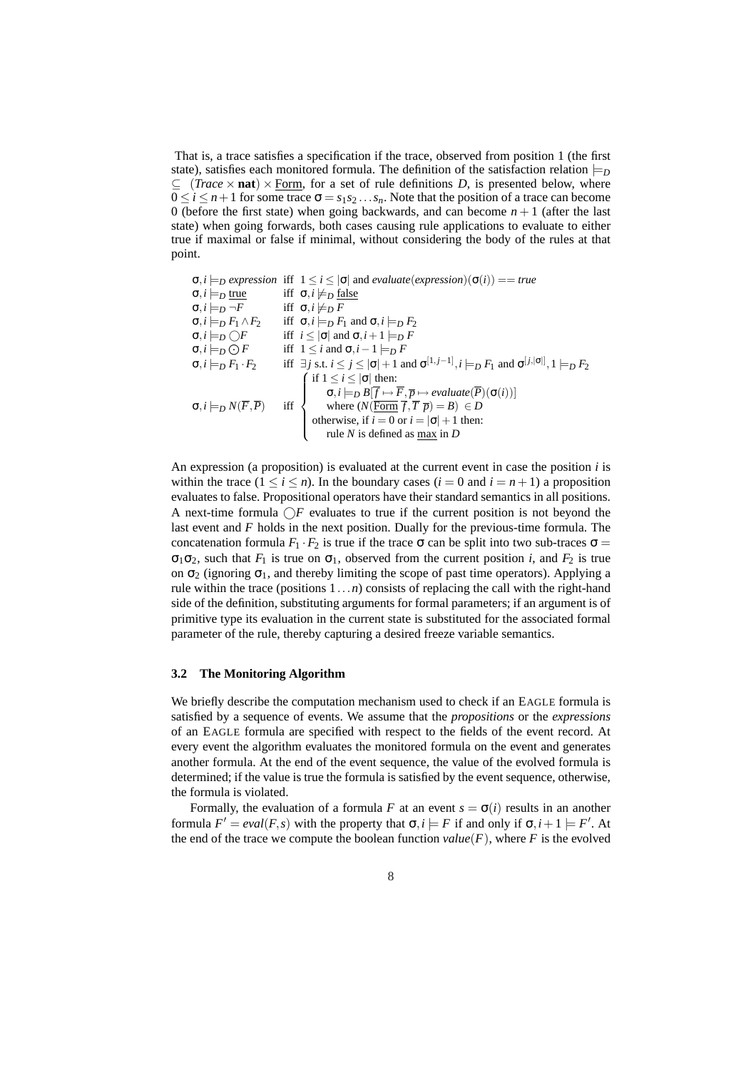That is, a trace satisfies a specification if the trace, observed from position 1 (the first state), satisfies each monitored formula. The definition of the satisfaction relation  $\models$ <sub>*D*</sub> ⊂ (*Trace*  $\times$  **nat**)  $\times$  Form, for a set of rule definitions *D*, is presented below, where  $0 \le i \le n+1$  for some trace  $\sigma = s_1 s_2 \dots s_n$ . Note that the position of a trace can become 0 (before the first state) when going backwards, and can become  $n + 1$  (after the last state) when going forwards, both cases causing rule applications to evaluate to either true if maximal or false if minimal, without considering the body of the rules at that point.

σ,*i* |=*<sup>D</sup> expression* iff 1 ≤ *i* ≤ |σ| and *evaluate*(*expression*)(σ(*i*)) == *true*  $\sigma, i \models_D \text{true}$  iff  $\sigma, i \not\models_D \text{false}$  $\sigma, i \models_D \neg F$  iff  $\sigma, i \not\models_D F$  $\sigma, i \models_D F_1 \wedge F_2$  iff  $\sigma, i \models_D F_1$  and  $\sigma, i \models_D F_2$  $\sigma, i \models_D \bigcirc F$  iff  $i \leq |\sigma|$  and  $\sigma, i+1 \models_D F$  $\sigma$ *, i*  $\models$ *D* $\odot$ *F iff*  $1 \le i$  and  $\sigma$ ,  $i-1 \models_D F$  $\sigma, i \models_D F_1 \cdot F_2$  iff  $\exists j \text{ s.t. } i \leq j \leq |\sigma| + 1$  and  $\sigma^{[1,j-1]}, i \models_D F_1$  and  $\sigma^{[j,|\sigma|]}, 1 \models_D F_2$  $\sigma, i \models_D N(\overline{F}, \overline{P})$  iff  $\left\{\n \begin{array}{l}\n \text{if } 1 \leq i \leq |\sigma| \text{ then: } \\
 \sigma, i \models_D B[\overline{f} \mapsto \overline{f}]\n \end{array}\n\right.$  $\begin{matrix} \phantom{-} \end{matrix}$  $\sigma, i \models_D B[\overline{f} \mapsto \overline{F}, \overline{p} \mapsto \text{evaluate}(\overline{P})(\sigma(i))]$ where  $(N(\overline{\text{Form}} f, \overline{T} \overline{p}) = B) \in D$ otherwise, if  $i = 0$  or  $i = |\sigma| + 1$  then: rule *N* is defined as max in *D*

An expression (a proposition) is evaluated at the current event in case the position *i* is within the trace  $(1 \le i \le n)$ . In the boundary cases  $(i = 0 \text{ and } i = n + 1)$  a proposition evaluates to false. Propositional operators have their standard semantics in all positions. A next-time formula  $\bigcap F$  evaluates to true if the current position is not beyond the last event and *F* holds in the next position. Dually for the previous-time formula. The concatenation formula  $F_1 \cdot F_2$  is true if the trace  $\sigma$  can be split into two sub-traces  $\sigma$  =  $\sigma_1 \sigma_2$ , such that  $F_1$  is true on  $\sigma_1$ , observed from the current position *i*, and  $F_2$  is true on  $\sigma_2$  (ignoring  $\sigma_1$ , and thereby limiting the scope of past time operators). Applying a rule within the trace (positions  $1 \dots n$ ) consists of replacing the call with the right-hand side of the definition, substituting arguments for formal parameters; if an argument is of primitive type its evaluation in the current state is substituted for the associated formal parameter of the rule, thereby capturing a desired freeze variable semantics.

### **3.2 The Monitoring Algorithm**

We briefly describe the computation mechanism used to check if an EAGLE formula is satisfied by a sequence of events. We assume that the *propositions* or the *expressions* of an EAGLE formula are specified with respect to the fields of the event record. At every event the algorithm evaluates the monitored formula on the event and generates another formula. At the end of the event sequence, the value of the evolved formula is determined; if the value is true the formula is satisfied by the event sequence, otherwise, the formula is violated.

Formally, the evaluation of a formula *F* at an event  $s = \sigma(i)$  results in an another formula  $F' = eval(F, s)$  with the property that  $\sigma, i \models F$  if and only if  $\sigma, i + 1 \models F'$ . At the end of the trace we compute the boolean function  $value(F)$ , where *F* is the evolved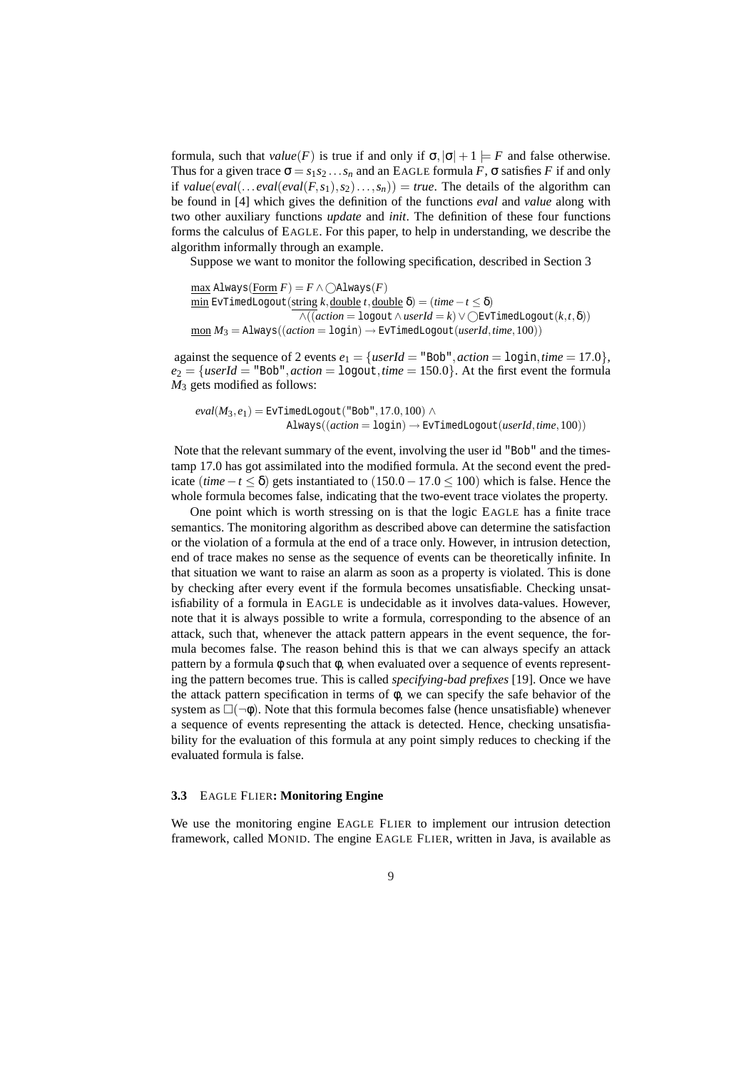formula, such that  $value(F)$  is true if and only if  $\sigma, |\sigma| + 1 \models F$  and false otherwise. Thus for a given trace  $\sigma = s_1 s_2 \dots s_n$  and an EAGLE formula *F*,  $\sigma$  satisfies *F* if and only if *value*(*eval*(... *eval*(*eval*(*F*,*s*<sub>1</sub>),*s*<sub>2</sub>)...,*s*<sub>*n*</sub>)) = *true*. The details of the algorithm can be found in [4] which gives the definition of the functions *eval* and *value* along with two other auxiliary functions *update* and *init*. The definition of these four functions forms the calculus of EAGLE. For this paper, to help in understanding, we describe the algorithm informally through an example.

Suppose we want to monitor the following specification, described in Section 3

 $max$  Always(Form  $F$ ) =  $F \wedge \bigcirc$ Always( $F$ )  $\min$  EvTimedLogout(string *k*, double *t*, double  $\delta$ ) = (*time* − *t* ≤  $\delta$ )  $∧((action = logout ∧ userId = k) ∨ (ErrimedLogout(k, t, \delta))$  $\text{mon } M_3 = \text{Always}((action = \text{login}) \rightarrow \text{EvTimedLogout}(userld, time, 100))$ 

against the sequence of 2 events  $e_1 = \{userId = "Bob", action = login, time = 17.0\},\$  $e_2 = \{userId = "Bob", action = logout, time = 150.0\}$ . At the first event the formula *M*<sup>3</sup> gets modified as follows:

 $eval(M_3, e_1) =$  EvTimedLogout("Bob", 17.0,100) ∧  $\text{Always}((action = \text{login}) \rightarrow \text{EvTimedLogout}(userld, time, 100))$ 

Note that the relevant summary of the event, involving the user id "Bob" and the timestamp 17.0 has got assimilated into the modified formula. At the second event the predicate (*time* − *t* ≤  $\delta$ ) gets instantiated to (150.0 − 17.0 ≤ 100) which is false. Hence the whole formula becomes false, indicating that the two-event trace violates the property.

One point which is worth stressing on is that the logic EAGLE has a finite trace semantics. The monitoring algorithm as described above can determine the satisfaction or the violation of a formula at the end of a trace only. However, in intrusion detection, end of trace makes no sense as the sequence of events can be theoretically infinite. In that situation we want to raise an alarm as soon as a property is violated. This is done by checking after every event if the formula becomes unsatisfiable. Checking unsatisfiability of a formula in EAGLE is undecidable as it involves data-values. However, note that it is always possible to write a formula, corresponding to the absence of an attack, such that, whenever the attack pattern appears in the event sequence, the formula becomes false. The reason behind this is that we can always specify an attack pattern by a formula φ such that φ, when evaluated over a sequence of events representing the pattern becomes true. This is called *specifying-bad prefixes* [19]. Once we have the attack pattern specification in terms of  $\phi$ , we can specify the safe behavior of the system as  $\square(\neg\phi)$ . Note that this formula becomes false (hence unsatisfiable) whenever a sequence of events representing the attack is detected. Hence, checking unsatisfiability for the evaluation of this formula at any point simply reduces to checking if the evaluated formula is false.

### **3.3** EAGLE FLIER**: Monitoring Engine**

We use the monitoring engine EAGLE FLIER to implement our intrusion detection framework, called MONID. The engine EAGLE FLIER, written in Java, is available as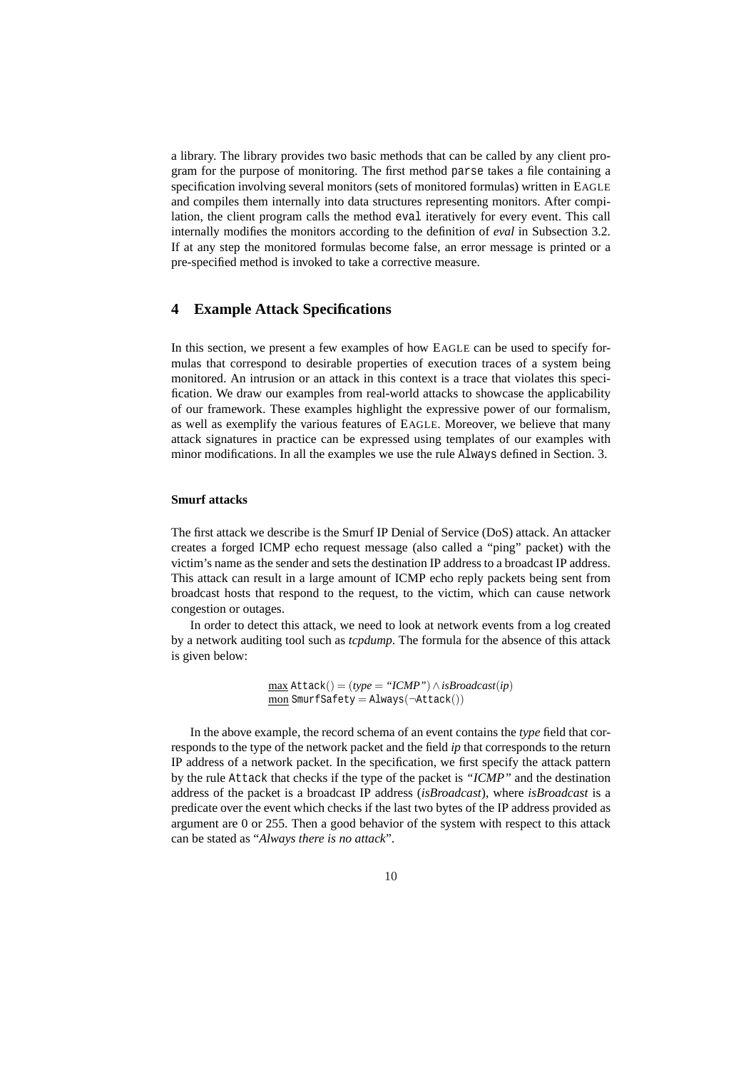a library. The library provides two basic methods that can be called by any client program for the purpose of monitoring. The first method parse takes a file containing a specification involving several monitors (sets of monitored formulas) written in EAGLE and compiles them internally into data structures representing monitors. After compilation, the client program calls the method eval iteratively for every event. This call internally modifies the monitors according to the definition of *eval* in Subsection 3.2. If at any step the monitored formulas become false, an error message is printed or a pre-specified method is invoked to take a corrective measure.

# **4 Example Attack Specifications**

In this section, we present a few examples of how EAGLE can be used to specify formulas that correspond to desirable properties of execution traces of a system being monitored. An intrusion or an attack in this context is a trace that violates this specification. We draw our examples from real-world attacks to showcase the applicability of our framework. These examples highlight the expressive power of our formalism, as well as exemplify the various features of EAGLE. Moreover, we believe that many attack signatures in practice can be expressed using templates of our examples with minor modifications. In all the examples we use the rule Always defined in Section. 3.

# **Smurf attacks**

The first attack we describe is the Smurf IP Denial of Service (DoS) attack. An attacker creates a forged ICMP echo request message (also called a "ping" packet) with the victim's name as the sender and sets the destination IP address to a broadcast IP address. This attack can result in a large amount of ICMP echo reply packets being sent from broadcast hosts that respond to the request, to the victim, which can cause network congestion or outages.

In order to detect this attack, we need to look at network events from a log created by a network auditing tool such as *tcpdump*. The formula for the absence of this attack is given below:

> max  $\text{Attrack}() = (type = "ICMP") \land is Broadcasting()$  $\underline{mon}$  SmurfSafety = Always( $\neg$ Attack())

In the above example, the record schema of an event contains the *type* field that corresponds to the type of the network packet and the field *ip* that corresponds to the return IP address of a network packet. In the specification, we first specify the attack pattern by the rule Attack that checks if the type of the packet is *"ICMP"* and the destination address of the packet is a broadcast IP address (*isBroadcast*), where *isBroadcast* is a predicate over the event which checks if the last two bytes of the IP address provided as argument are 0 or 255. Then a good behavior of the system with respect to this attack can be stated as "*Always there is no attack*".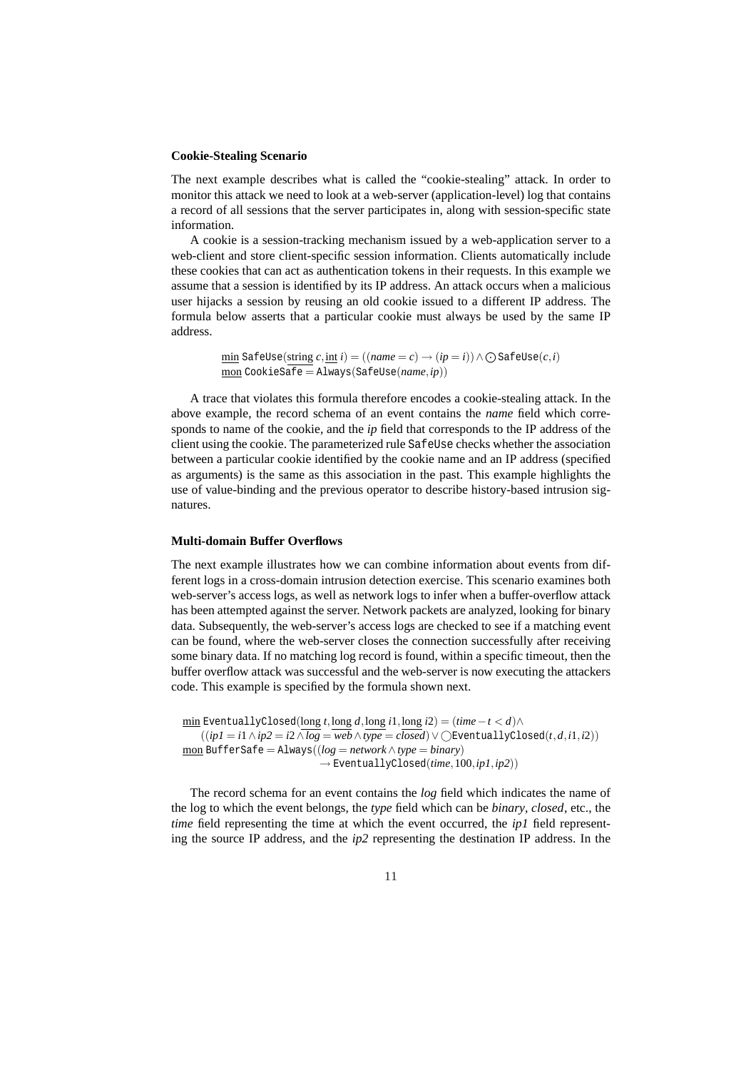#### **Cookie-Stealing Scenario**

The next example describes what is called the "cookie-stealing" attack. In order to monitor this attack we need to look at a web-server (application-level) log that contains a record of all sessions that the server participates in, along with session-specific state information.

A cookie is a session-tracking mechanism issued by a web-application server to a web-client and store client-specific session information. Clients automatically include these cookies that can act as authentication tokens in their requests. In this example we assume that a session is identified by its IP address. An attack occurs when a malicious user hijacks a session by reusing an old cookie issued to a different IP address. The formula below asserts that a particular cookie must always be used by the same IP address.

> $\min$  SafeUse(string  $c, \underline{\text{int}}\ i) = ((name = c) \rightarrow (ip = i)) \land \bigcirc$  SafeUse $(c, i)$ mon CookieSafe = Always(SafeUse(*name*,*ip*))

A trace that violates this formula therefore encodes a cookie-stealing attack. In the above example, the record schema of an event contains the *name* field which corresponds to name of the cookie, and the *ip* field that corresponds to the IP address of the client using the cookie. The parameterized rule SafeUse checks whether the association between a particular cookie identified by the cookie name and an IP address (specified as arguments) is the same as this association in the past. This example highlights the use of value-binding and the previous operator to describe history-based intrusion signatures.

### **Multi-domain Buffer Overflows**

The next example illustrates how we can combine information about events from different logs in a cross-domain intrusion detection exercise. This scenario examines both web-server's access logs, as well as network logs to infer when a buffer-overflow attack has been attempted against the server. Network packets are analyzed, looking for binary data. Subsequently, the web-server's access logs are checked to see if a matching event can be found, where the web-server closes the connection successfully after receiving some binary data. If no matching log record is found, within a specific timeout, then the buffer overflow attack was successful and the web-server is now executing the attackers code. This example is specified by the formula shown next.

```
min EventuallyClosed(long t,long d,long i1,long i2) = (time−t < d)∧
    ((ip1 = i1 \land ip2 = i2 \land log = web \land type = closed) ∨EventuallyClosed(t,d,i1,i2))
mon BufferSafe = Always((log = network∧type = binary)
                              \rightarrow EventuallyClosed(time, 100, ip1, ip2))
```
The record schema for an event contains the *log* field which indicates the name of the log to which the event belongs, the *type* field which can be *binary*, *closed*, etc., the *time* field representing the time at which the event occurred, the *ip1* field representing the source IP address, and the *ip2* representing the destination IP address. In the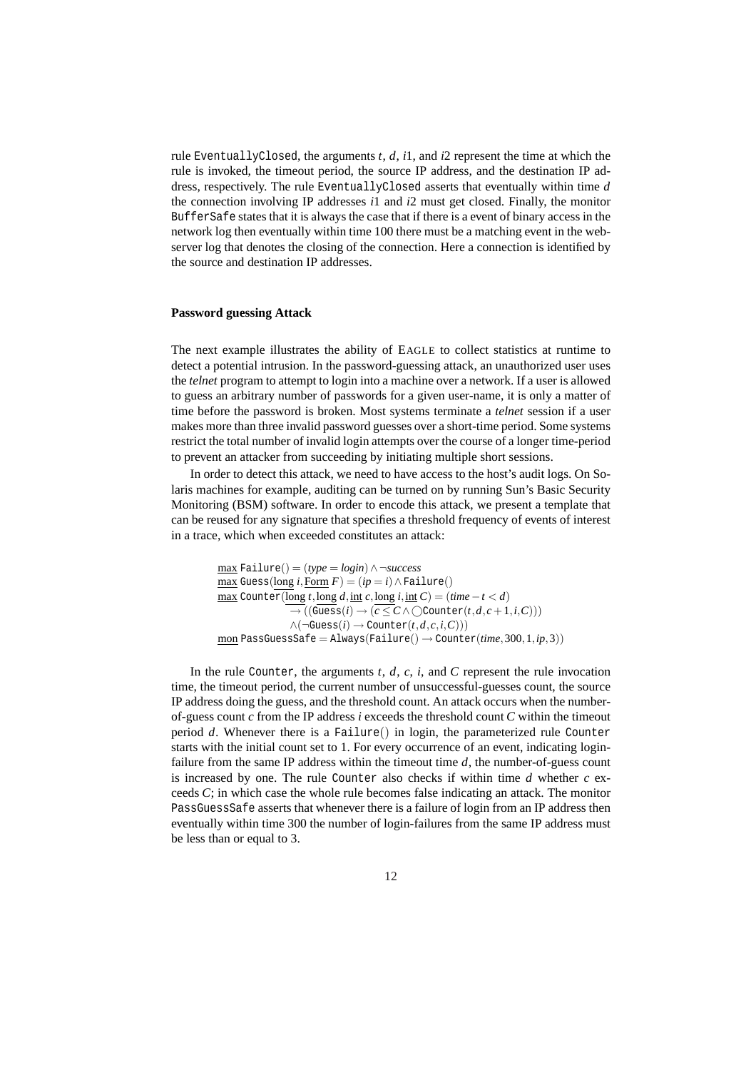rule EventuallyClosed, the arguments *t*, *d*, *i*1, and *i*2 represent the time at which the rule is invoked, the timeout period, the source IP address, and the destination IP address, respectively. The rule EventuallyClosed asserts that eventually within time *d* the connection involving IP addresses *i*1 and *i*2 must get closed. Finally, the monitor BufferSafe states that it is always the case that if there is a event of binary access in the network log then eventually within time 100 there must be a matching event in the webserver log that denotes the closing of the connection. Here a connection is identified by the source and destination IP addresses.

### **Password guessing Attack**

The next example illustrates the ability of EAGLE to collect statistics at runtime to detect a potential intrusion. In the password-guessing attack, an unauthorized user uses the *telnet* program to attempt to login into a machine over a network. If a user is allowed to guess an arbitrary number of passwords for a given user-name, it is only a matter of time before the password is broken. Most systems terminate a *telnet* session if a user makes more than three invalid password guesses over a short-time period. Some systems restrict the total number of invalid login attempts over the course of a longer time-period to prevent an attacker from succeeding by initiating multiple short sessions.

In order to detect this attack, we need to have access to the host's audit logs. On Solaris machines for example, auditing can be turned on by running Sun's Basic Security Monitoring (BSM) software. In order to encode this attack, we present a template that can be reused for any signature that specifies a threshold frequency of events of interest in a trace, which when exceeded constitutes an attack:

 $max$  Failure() =  $(type = login) \land \neg success$  $\max$  Guess( $\log i$ , Form  $F$ ) =  $(ip = i) \wedge$  Failure()  $\max$  Counter( $\overline{\log t}$ ,  $\log d$ ,  $\overline{\text{int } c}$ ,  $\log i$ ,  $\overline{\text{int } C}$ ) = ( $\text{time} - t < d$ )  $\rightarrow$  ((Guess(*i*)  $\rightarrow$  ( $\overline{c} \leq C \land \bigcirc$ Counter(*t*,*d*,*c* + 1,*i*,*C*)))  $∧(\neg \text{Guess}(i) \rightarrow \text{Counter}(t, d, c, i, C)))$ mon PassGuessSafe = Always(Failure()  $\rightarrow$  Counter(*time*, 300, 1, *ip*, 3))

In the rule Counter, the arguments *t*, *d*, *c*, *i*, and *C* represent the rule invocation time, the timeout period, the current number of unsuccessful-guesses count, the source IP address doing the guess, and the threshold count. An attack occurs when the numberof-guess count *c* from the IP address *i* exceeds the threshold count *C* within the timeout period *d*. Whenever there is a Failure() in login, the parameterized rule Counter starts with the initial count set to 1. For every occurrence of an event, indicating loginfailure from the same IP address within the timeout time *d*, the number-of-guess count is increased by one. The rule Counter also checks if within time *d* whether *c* exceeds *C*; in which case the whole rule becomes false indicating an attack. The monitor PassGuessSafe asserts that whenever there is a failure of login from an IP address then eventually within time 300 the number of login-failures from the same IP address must be less than or equal to 3.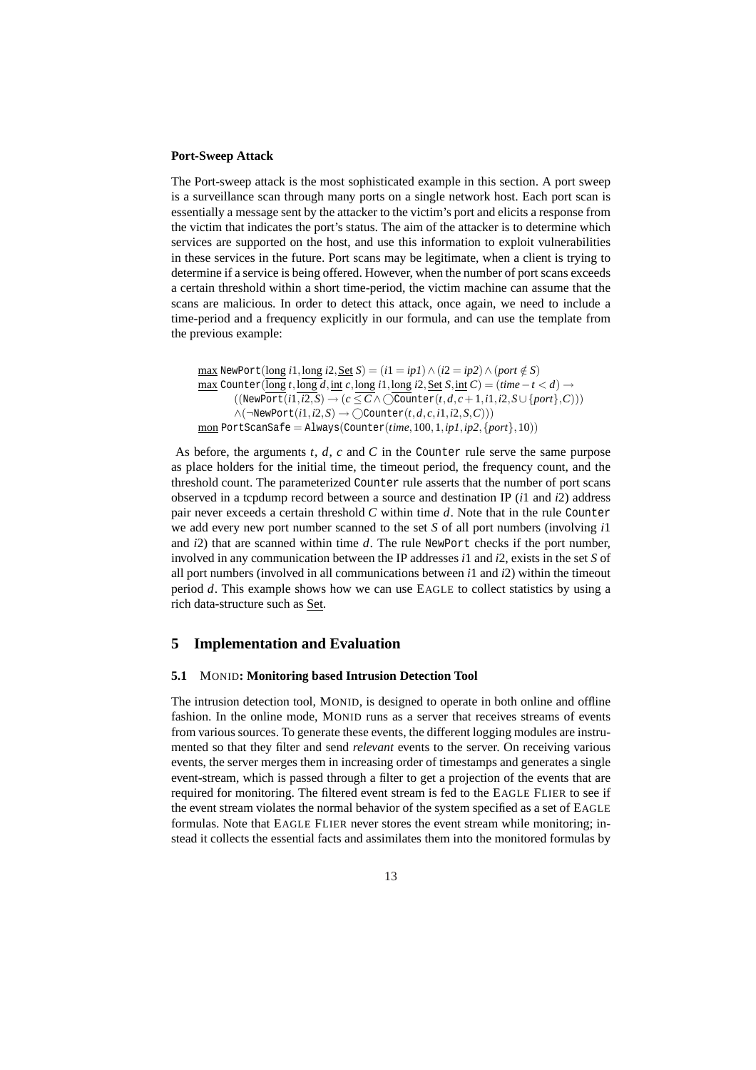#### **Port-Sweep Attack**

The Port-sweep attack is the most sophisticated example in this section. A port sweep is a surveillance scan through many ports on a single network host. Each port scan is essentially a message sent by the attacker to the victim's port and elicits a response from the victim that indicates the port's status. The aim of the attacker is to determine which services are supported on the host, and use this information to exploit vulnerabilities in these services in the future. Port scans may be legitimate, when a client is trying to determine if a service is being offered. However, when the number of port scans exceeds a certain threshold within a short time-period, the victim machine can assume that the scans are malicious. In order to detect this attack, once again, we need to include a time-period and a frequency explicitly in our formula, and can use the template from the previous example:

```
\max NewPort(long i1, long i2, <u>Set</u> S) = (i1 = ip1) \land (i2 = ip2) \land (port \notin S)
\max Counter(\overline{\log t}, \overline{\log d}, \overline{\ln t} c, \log i1, \log i2, \overline{\det S}, \overline{\ln t} C) = (time − t < d) →
           ((\text{NewPort}(i1, i2, S) \rightarrow (c \leq C \land \bigcirc \text{Counter}(t, d, c+1, i1, i2, S \cup \{port\}, C)))\wedge(\negNewPort(i1,i2,S) \rightarrow \bigcircCounter(t,d,c,i1,i2,S,C)))
mon PortScanSafe = \text{Always}(\text{Counter}(time,100,1,ip1,ip2,\{port\},10))
```
As before, the arguments *t*, *d*, *c* and *C* in the Counter rule serve the same purpose as place holders for the initial time, the timeout period, the frequency count, and the threshold count. The parameterized Counter rule asserts that the number of port scans observed in a tcpdump record between a source and destination IP (*i*1 and *i*2) address pair never exceeds a certain threshold *C* within time *d*. Note that in the rule Counter we add every new port number scanned to the set *S* of all port numbers (involving *i*1 and *i*2) that are scanned within time *d*. The rule NewPort checks if the port number, involved in any communication between the IP addresses *i*1 and *i*2, exists in the set *S* of all port numbers (involved in all communications between *i*1 and *i*2) within the timeout period *d*. This example shows how we can use EAGLE to collect statistics by using a rich data-structure such as Set.

# **5 Implementation and Evaluation**

### **5.1** MONID**: Monitoring based Intrusion Detection Tool**

The intrusion detection tool, MONID, is designed to operate in both online and offline fashion. In the online mode, MONID runs as a server that receives streams of events from various sources. To generate these events, the different logging modules are instrumented so that they filter and send *relevant* events to the server. On receiving various events, the server merges them in increasing order of timestamps and generates a single event-stream, which is passed through a filter to get a projection of the events that are required for monitoring. The filtered event stream is fed to the EAGLE FLIER to see if the event stream violates the normal behavior of the system specified as a set of EAGLE formulas. Note that EAGLE FLIER never stores the event stream while monitoring; instead it collects the essential facts and assimilates them into the monitored formulas by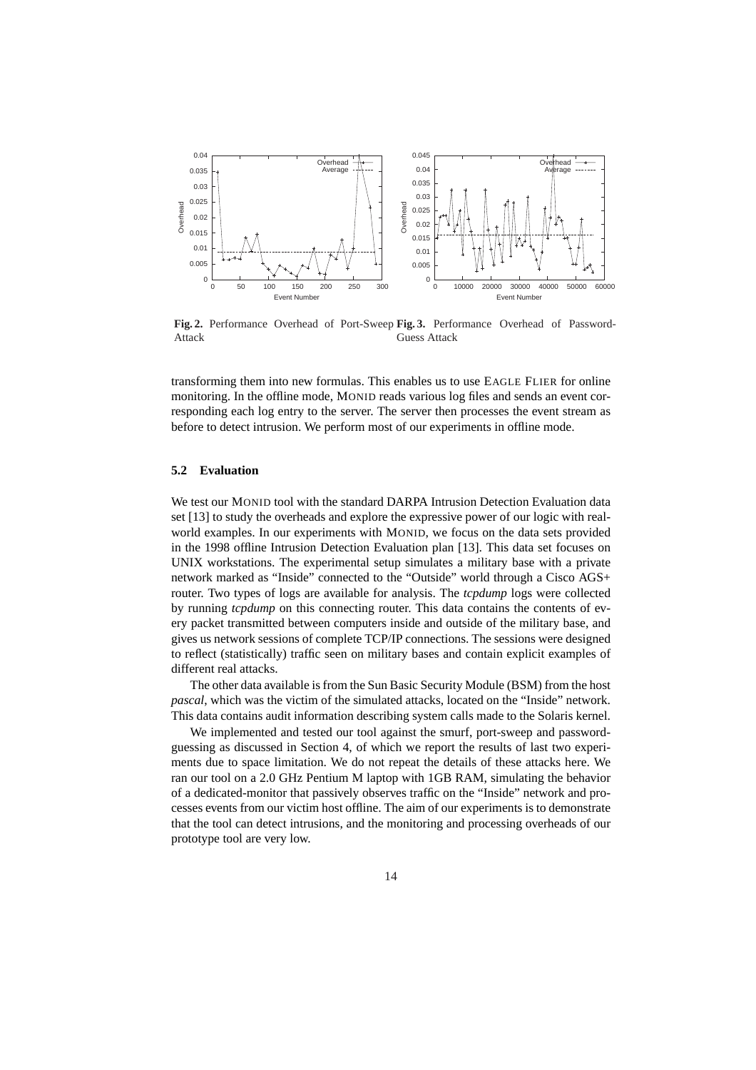

**Fig. 2.** Performance Overhead of Port-Sweep **Fig. 3.** Performance Overhead of Password-Attack Guess Attack

transforming them into new formulas. This enables us to use EAGLE FLIER for online monitoring. In the offline mode, MONID reads various log files and sends an event corresponding each log entry to the server. The server then processes the event stream as before to detect intrusion. We perform most of our experiments in offline mode.

### **5.2 Evaluation**

We test our MONID tool with the standard DARPA Intrusion Detection Evaluation data set [13] to study the overheads and explore the expressive power of our logic with realworld examples. In our experiments with MONID, we focus on the data sets provided in the 1998 offline Intrusion Detection Evaluation plan [13]. This data set focuses on UNIX workstations. The experimental setup simulates a military base with a private network marked as "Inside" connected to the "Outside" world through a Cisco AGS+ router. Two types of logs are available for analysis. The *tcpdump* logs were collected by running *tcpdump* on this connecting router. This data contains the contents of every packet transmitted between computers inside and outside of the military base, and gives us network sessions of complete TCP/IP connections. The sessions were designed to reflect (statistically) traffic seen on military bases and contain explicit examples of different real attacks.

The other data available is from the Sun Basic Security Module (BSM) from the host *pascal*, which was the victim of the simulated attacks, located on the "Inside" network. This data contains audit information describing system calls made to the Solaris kernel.

We implemented and tested our tool against the smurf, port-sweep and passwordguessing as discussed in Section 4, of which we report the results of last two experiments due to space limitation. We do not repeat the details of these attacks here. We ran our tool on a 2.0 GHz Pentium M laptop with 1GB RAM, simulating the behavior of a dedicated-monitor that passively observes traffic on the "Inside" network and processes events from our victim host offline. The aim of our experiments is to demonstrate that the tool can detect intrusions, and the monitoring and processing overheads of our prototype tool are very low.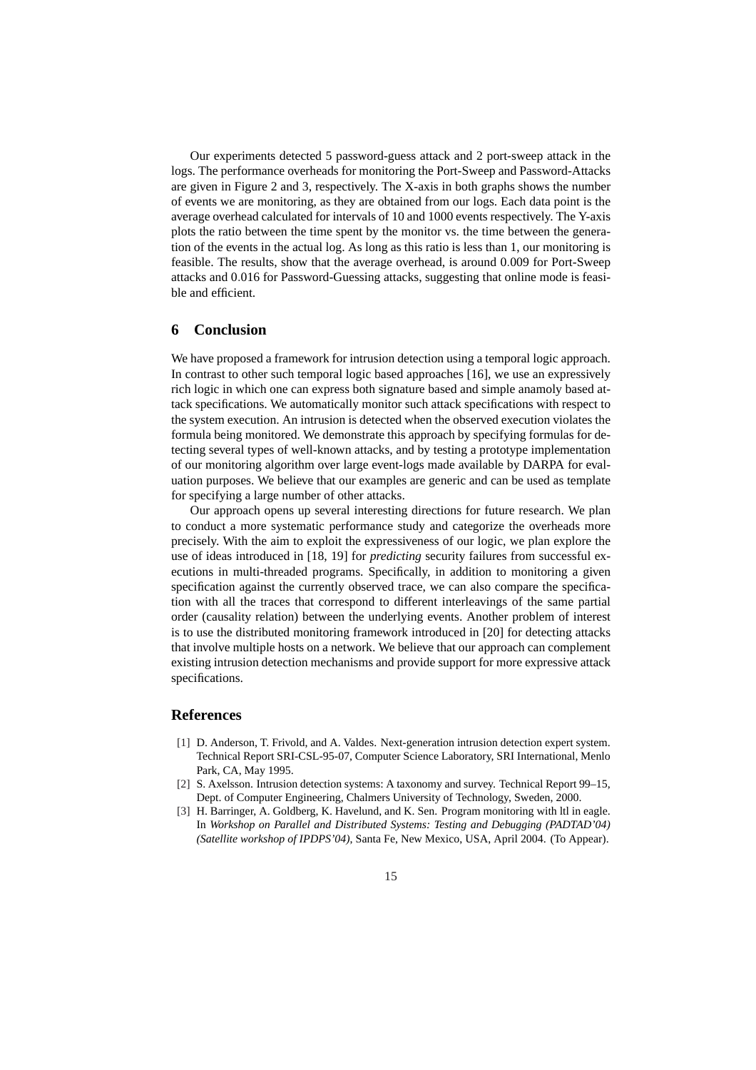Our experiments detected 5 password-guess attack and 2 port-sweep attack in the logs. The performance overheads for monitoring the Port-Sweep and Password-Attacks are given in Figure 2 and 3, respectively. The X-axis in both graphs shows the number of events we are monitoring, as they are obtained from our logs. Each data point is the average overhead calculated for intervals of 10 and 1000 events respectively. The Y-axis plots the ratio between the time spent by the monitor vs. the time between the generation of the events in the actual log. As long as this ratio is less than 1, our monitoring is feasible. The results, show that the average overhead, is around 0.009 for Port-Sweep attacks and 0.016 for Password-Guessing attacks, suggesting that online mode is feasible and efficient.

### **6 Conclusion**

We have proposed a framework for intrusion detection using a temporal logic approach. In contrast to other such temporal logic based approaches [16], we use an expressively rich logic in which one can express both signature based and simple anamoly based attack specifications. We automatically monitor such attack specifications with respect to the system execution. An intrusion is detected when the observed execution violates the formula being monitored. We demonstrate this approach by specifying formulas for detecting several types of well-known attacks, and by testing a prototype implementation of our monitoring algorithm over large event-logs made available by DARPA for evaluation purposes. We believe that our examples are generic and can be used as template for specifying a large number of other attacks.

Our approach opens up several interesting directions for future research. We plan to conduct a more systematic performance study and categorize the overheads more precisely. With the aim to exploit the expressiveness of our logic, we plan explore the use of ideas introduced in [18, 19] for *predicting* security failures from successful executions in multi-threaded programs. Specifically, in addition to monitoring a given specification against the currently observed trace, we can also compare the specification with all the traces that correspond to different interleavings of the same partial order (causality relation) between the underlying events. Another problem of interest is to use the distributed monitoring framework introduced in [20] for detecting attacks that involve multiple hosts on a network. We believe that our approach can complement existing intrusion detection mechanisms and provide support for more expressive attack specifications.

### **References**

- [1] D. Anderson, T. Frivold, and A. Valdes. Next-generation intrusion detection expert system. Technical Report SRI-CSL-95-07, Computer Science Laboratory, SRI International, Menlo Park, CA, May 1995.
- [2] S. Axelsson. Intrusion detection systems: A taxonomy and survey. Technical Report 99–15, Dept. of Computer Engineering, Chalmers University of Technology, Sweden, 2000.
- [3] H. Barringer, A. Goldberg, K. Havelund, and K. Sen. Program monitoring with ltl in eagle. In *Workshop on Parallel and Distributed Systems: Testing and Debugging (PADTAD'04) (Satellite workshop of IPDPS'04)*, Santa Fe, New Mexico, USA, April 2004. (To Appear).